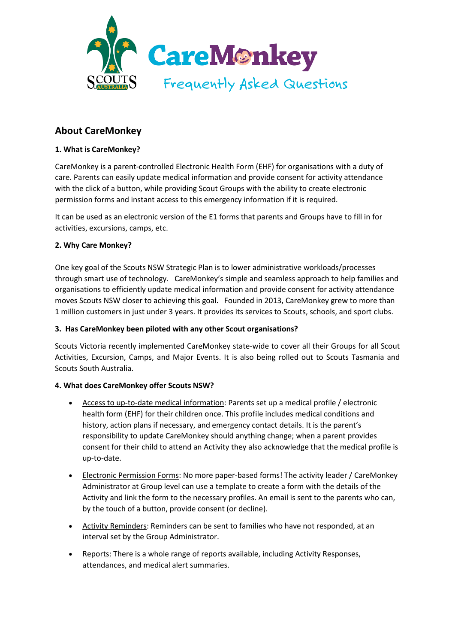

# **About CareMonkey**

## **1. What is CareMonkey?**

CareMonkey is a parent-controlled Electronic Health Form (EHF) for organisations with a duty of care. Parents can easily update medical information and provide consent for activity attendance with the click of a button, while providing Scout Groups with the ability to create electronic permission forms and instant access to this emergency information if it is required.

It can be used as an electronic version of the E1 forms that parents and Groups have to fill in for activities, excursions, camps, etc.

## **2. Why Care Monkey?**

One key goal of the Scouts NSW Strategic Plan is to lower administrative workloads/processes through smart use of technology. CareMonkey's simple and seamless approach to help families and organisations to efficiently update medical information and provide consent for activity attendance moves Scouts NSW closer to achieving this goal. Founded in 2013, CareMonkey grew to more than 1 million customers in just under 3 years. It provides its services to Scouts, schools, and sport clubs.

#### **3. Has CareMonkey been piloted with any other Scout organisations?**

Scouts Victoria recently implemented CareMonkey state-wide to cover all their Groups for all Scout Activities, Excursion, Camps, and Major Events. It is also being rolled out to Scouts Tasmania and Scouts South Australia.

#### **4. What does CareMonkey offer Scouts NSW?**

- Access to up-to-date medical information: Parents set up a medical profile / electronic health form (EHF) for their children once. This profile includes medical conditions and history, action plans if necessary, and emergency contact details. It is the parent's responsibility to update CareMonkey should anything change; when a parent provides consent for their child to attend an Activity they also acknowledge that the medical profile is up-to-date.
- Electronic Permission Forms: No more paper-based forms! The activity leader / CareMonkey Administrator at Group level can use a template to create a form with the details of the Activity and link the form to the necessary profiles. An email is sent to the parents who can, by the touch of a button, provide consent (or decline).
- Activity Reminders: Reminders can be sent to families who have not responded, at an interval set by the Group Administrator.
- Reports: There is a whole range of reports available, including Activity Responses, attendances, and medical alert summaries.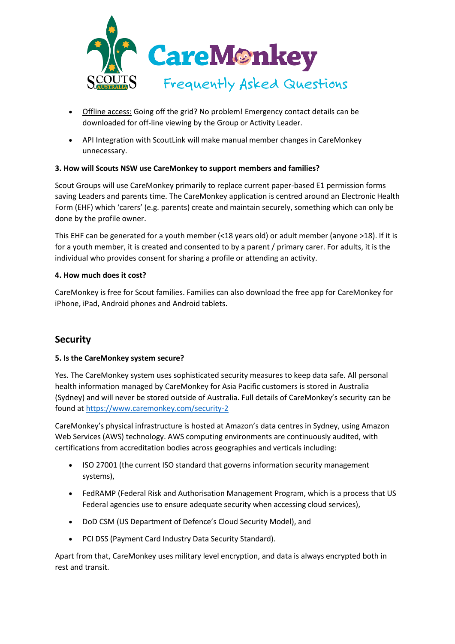

- Offline access: Going off the grid? No problem! Emergency contact details can be downloaded for off-line viewing by the Group or Activity Leader.
- API Integration with ScoutLink will make manual member changes in CareMonkey unnecessary.

# **3. How will Scouts NSW use CareMonkey to support members and families?**

Scout Groups will use CareMonkey primarily to replace current paper-based E1 permission forms saving Leaders and parents time. The CareMonkey application is centred around an Electronic Health Form (EHF) which 'carers' (e.g. parents) create and maintain securely, something which can only be done by the profile owner.

This EHF can be generated for a youth member (<18 years old) or adult member (anyone >18). If it is for a youth member, it is created and consented to by a parent / primary carer. For adults, it is the individual who provides consent for sharing a profile or attending an activity.

# **4. How much does it cost?**

CareMonkey is free for Scout families. Families can also download the free app for CareMonkey for iPhone, iPad, Android phones and Android tablets.

# **Security**

# **5. Is the CareMonkey system secure?**

Yes. The CareMonkey system uses sophisticated security measures to keep data safe. All personal health information managed by CareMonkey for Asia Pacific customers is stored in Australia (Sydney) and will never be stored outside of Australia. Full details of CareMonkey's security can be found at <https://www.caremonkey.com/security-2>

CareMonkey's physical infrastructure is hosted at Amazon's data centres in Sydney, using Amazon Web Services (AWS) technology. AWS computing environments are continuously audited, with certifications from accreditation bodies across geographies and verticals including:

- ISO 27001 (the current ISO standard that governs information security management systems),
- FedRAMP (Federal Risk and Authorisation Management Program, which is a process that US Federal agencies use to ensure adequate security when accessing cloud services),
- DoD CSM (US Department of Defence's Cloud Security Model), and
- PCI DSS (Payment Card Industry Data Security Standard).

Apart from that, CareMonkey uses military level encryption, and data is always encrypted both in rest and transit.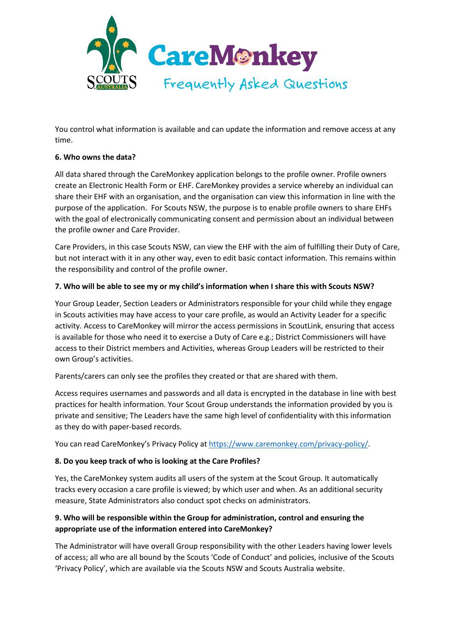

You control what information is available and can update the information and remove access at any time.

## **6. Who owns the data?**

All data shared through the CareMonkey application belongs to the profile owner. Profile owners create an Electronic Health Form or EHF. CareMonkey provides a service whereby an individual can share their EHF with an organisation, and the organisation can view this information in line with the purpose of the application. For Scouts NSW, the purpose is to enable profile owners to share EHFs with the goal of electronically communicating consent and permission about an individual between the profile owner and Care Provider.

Care Providers, in this case Scouts NSW, can view the EHF with the aim of fulfilling their Duty of Care, but not interact with it in any other way, even to edit basic contact information. This remains within the responsibility and control of the profile owner.

## **7. Who will be able to see my or my child's information when I share this with Scouts NSW?**

Your Group Leader, Section Leaders or Administrators responsible for your child while they engage in Scouts activities may have access to your care profile, as would an Activity Leader for a specific activity. Access to CareMonkey will mirror the access permissions in ScoutLink, ensuring that access is available for those who need it to exercise a Duty of Care e.g.; District Commissioners will have access to their District members and Activities, whereas Group Leaders will be restricted to their own Group's activities.

Parents/carers can only see the profiles they created or that are shared with them.

Access requires usernames and passwords and all data is encrypted in the database in line with best practices for health information. Your Scout Group understands the information provided by you is private and sensitive; The Leaders have the same high level of confidentiality with this information as they do with paper-based records.

You can read CareMonkey's Privacy Policy at [https://www.caremonkey.com/privacy-policy/.](https://www.caremonkey.com/privacy-policy/)

# **8. Do you keep track of who is looking at the Care Profiles?**

Yes, the CareMonkey system audits all users of the system at the Scout Group. It automatically tracks every occasion a care profile is viewed; by which user and when. As an additional security measure, State Administrators also conduct spot checks on administrators.

# **9. Who will be responsible within the Group for administration, control and ensuring the appropriate use of the information entered into CareMonkey?**

The Administrator will have overall Group responsibility with the other Leaders having lower levels of access; all who are all bound by the Scouts 'Code of Conduct' and policies, inclusive of the Scouts 'Privacy Policy', which are available via the Scouts NSW and Scouts Australia website.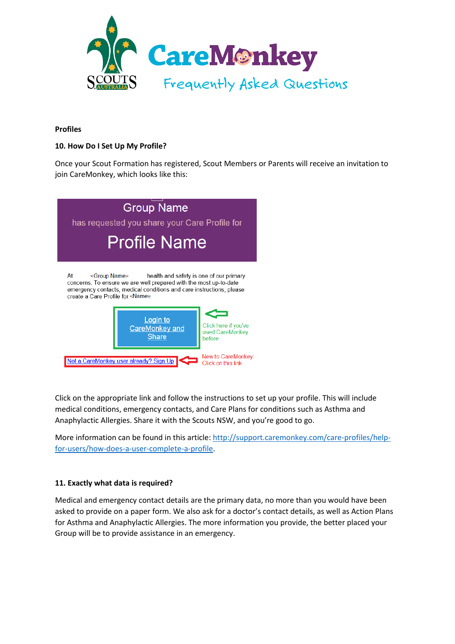

#### **Profiles**

## **10. How Do I Set Up My Profile?**

Once your Scout Formation has registered, Scout Members or Parents will receive an invitation to join CareMonkey, which looks like this:



Click on the appropriate link and follow the instructions to set up your profile. This will include medical conditions, emergency contacts, and Care Plans for conditions such as Asthma and Anaphylactic Allergies. Share it with the Scouts NSW, and you're good to go.

More information can be found in this article: [http://support.caremonkey.com/care-profiles/help](http://support.caremonkey.com/care-profiles/help-for-users/how-does-a-user-complete-a-profile)[for-users/how-does-a-user-complete-a-profile.](http://support.caremonkey.com/care-profiles/help-for-users/how-does-a-user-complete-a-profile)

#### **11. Exactly what data is required?**

Medical and emergency contact details are the primary data, no more than you would have been asked to provide on a paper form. We also ask for a doctor's contact details, as well as Action Plans for Asthma and Anaphylactic Allergies. The more information you provide, the better placed your Group will be to provide assistance in an emergency.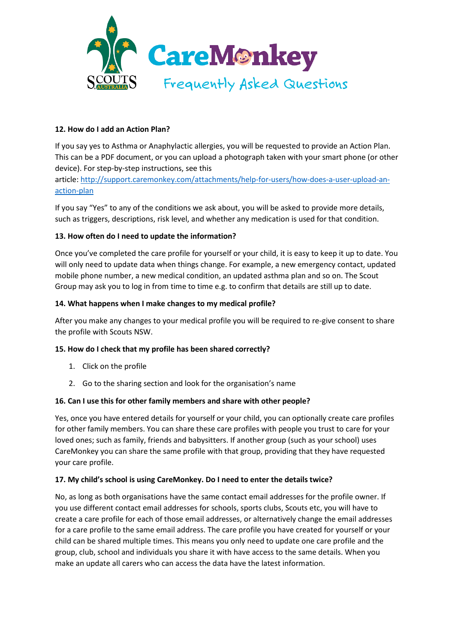

# **12. How do I add an Action Plan?**

If you say yes to Asthma or Anaphylactic allergies, you will be requested to provide an Action Plan. This can be a PDF document, or you can upload a photograph taken with your smart phone (or other device). For step-by-step instructions, see this article: [http://support.caremonkey.com/attachments/help-for-users/how-does-a-user-upload-an-](http://support.caremonkey.com/attachments/help-for-users/how-does-a-user-upload-an-action-plan)

[action-plan](http://support.caremonkey.com/attachments/help-for-users/how-does-a-user-upload-an-action-plan)

If you say "Yes" to any of the conditions we ask about, you will be asked to provide more details, such as triggers, descriptions, risk level, and whether any medication is used for that condition.

## **13. How often do I need to update the information?**

Once you've completed the care profile for yourself or your child, it is easy to keep it up to date. You will only need to update data when things change. For example, a new emergency contact, updated mobile phone number, a new medical condition, an updated asthma plan and so on. The Scout Group may ask you to log in from time to time e.g. to confirm that details are still up to date.

## **14. What happens when I make changes to my medical profile?**

After you make any changes to your medical profile you will be required to re-give consent to share the profile with Scouts NSW.

#### **15. How do I check that my profile has been shared correctly?**

- 1. Click on the profile
- 2. Go to the sharing section and look for the organisation's name

#### **16. Can I use this for other family members and share with other people?**

Yes, once you have entered details for yourself or your child, you can optionally create care profiles for other family members. You can share these care profiles with people you trust to care for your loved ones; such as family, friends and babysitters. If another group (such as your school) uses CareMonkey you can share the same profile with that group, providing that they have requested your care profile.

#### **17. My child's school is using CareMonkey. Do I need to enter the details twice?**

No, as long as both organisations have the same contact email addresses for the profile owner. If you use different contact email addresses for schools, sports clubs, Scouts etc, you will have to create a care profile for each of those email addresses, or alternatively change the email addresses for a care profile to the same email address. The care profile you have created for yourself or your child can be shared multiple times. This means you only need to update one care profile and the group, club, school and individuals you share it with have access to the same details. When you make an update all carers who can access the data have the latest information.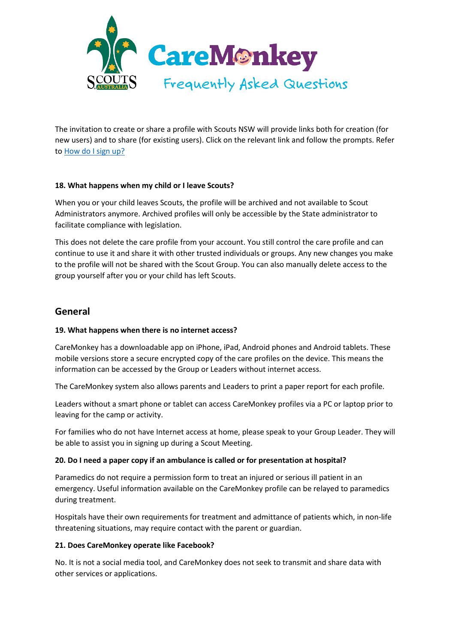

The invitation to create or share a profile with Scouts NSW will provide links both for creation (for new users) and to share (for existing users). Click on the relevant link and follow the prompts. Refer to [How do I sign up?](https://www.nsw.scouts.com.au/members-services/caremonkey/caremonkey-faqs/#_How_do_I)

## **18. What happens when my child or I leave Scouts?**

When you or your child leaves Scouts, the profile will be archived and not available to Scout Administrators anymore. Archived profiles will only be accessible by the State administrator to facilitate compliance with legislation.

This does not delete the care profile from your account. You still control the care profile and can continue to use it and share it with other trusted individuals or groups. Any new changes you make to the profile will not be shared with the Scout Group. You can also manually delete access to the group yourself after you or your child has left Scouts.

# **General**

# **19. What happens when there is no internet access?**

CareMonkey has a downloadable app on iPhone, iPad, Android phones and Android tablets. These mobile versions store a secure encrypted copy of the care profiles on the device. This means the information can be accessed by the Group or Leaders without internet access.

The CareMonkey system also allows parents and Leaders to print a paper report for each profile.

Leaders without a smart phone or tablet can access CareMonkey profiles via a PC or laptop prior to leaving for the camp or activity.

For families who do not have Internet access at home, please speak to your Group Leader. They will be able to assist you in signing up during a Scout Meeting.

#### **20. Do I need a paper copy if an ambulance is called or for presentation at hospital?**

Paramedics do not require a permission form to treat an injured or serious ill patient in an emergency. Useful information available on the CareMonkey profile can be relayed to paramedics during treatment.

Hospitals have their own requirements for treatment and admittance of patients which, in non-life threatening situations, may require contact with the parent or guardian.

# **21. Does CareMonkey operate like Facebook?**

No. It is not a social media tool, and CareMonkey does not seek to transmit and share data with other services or applications.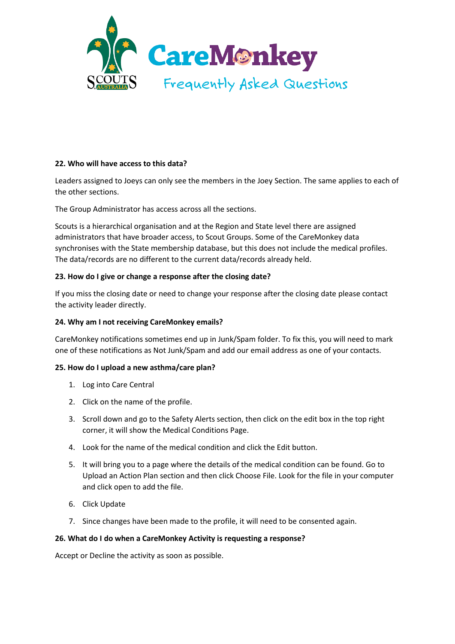

## **22. Who will have access to this data?**

Leaders assigned to Joeys can only see the members in the Joey Section. The same applies to each of the other sections.

The Group Administrator has access across all the sections.

Scouts is a hierarchical organisation and at the Region and State level there are assigned administrators that have broader access, to Scout Groups. Some of the CareMonkey data synchronises with the State membership database, but this does not include the medical profiles. The data/records are no different to the current data/records already held.

## **23. How do I give or change a response after the closing date?**

If you miss the closing date or need to change your response after the closing date please contact the activity leader directly.

#### **24. Why am I not receiving CareMonkey emails?**

CareMonkey notifications sometimes end up in Junk/Spam folder. To fix this, you will need to mark one of these notifications as Not Junk/Spam and add our email address as one of your contacts.

#### **25. How do I upload a new asthma/care plan?**

- 1. Log into Care Central
- 2. Click on the name of the profile.
- 3. Scroll down and go to the Safety Alerts section, then click on the edit box in the top right corner, it will show the Medical Conditions Page.
- 4. Look for the name of the medical condition and click the Edit button.
- 5. It will bring you to a page where the details of the medical condition can be found. Go to Upload an Action Plan section and then click Choose File. Look for the file in your computer and click open to add the file.
- 6. Click Update
- 7. Since changes have been made to the profile, it will need to be consented again.

#### **26. What do I do when a CareMonkey Activity is requesting a response?**

Accept or Decline the activity as soon as possible.